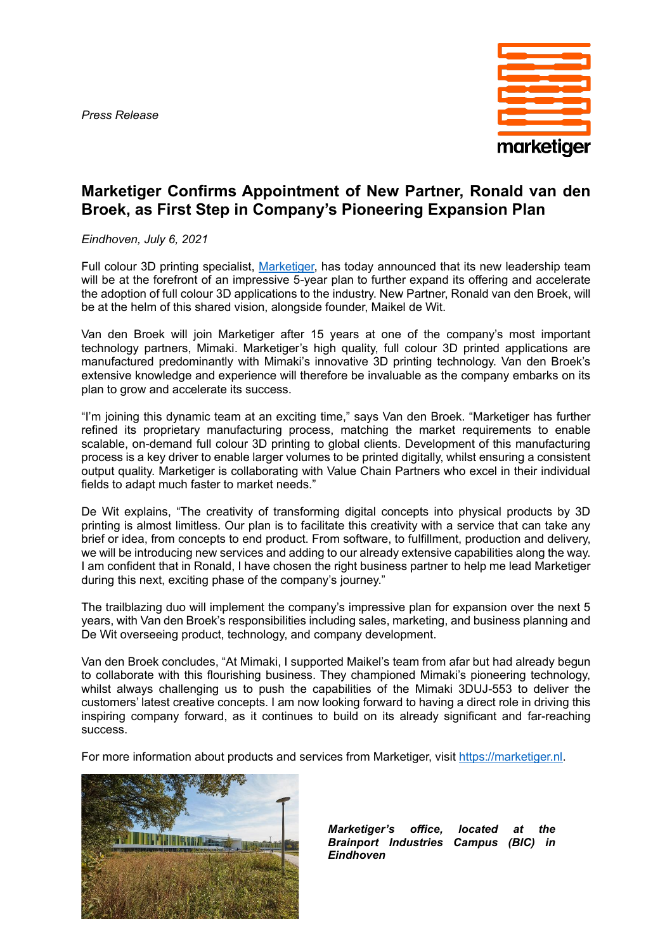*Press Release*



## **Marketiger Confirms Appointment of New Partner, Ronald van den Broek, as First Step in Company's Pioneering Expansion Plan**

*Eindhoven, July 6, 2021*

Full colour 3D printing specialist, [Marketiger,](http://www.marketiger.nl/) has today announced that its new leadership team will be at the forefront of an impressive 5-year plan to further expand its offering and accelerate the adoption of full colour 3D applications to the industry. New Partner, Ronald van den Broek, will be at the helm of this shared vision, alongside founder, Maikel de Wit.

Van den Broek will join Marketiger after 15 years at one of the company's most important technology partners, Mimaki. Marketiger's high quality, full colour 3D printed applications are manufactured predominantly with Mimaki's innovative 3D printing technology. Van den Broek's extensive knowledge and experience will therefore be invaluable as the company embarks on its plan to grow and accelerate its success.

"I'm joining this dynamic team at an exciting time," says Van den Broek. "Marketiger has further refined its proprietary manufacturing process, matching the market requirements to enable scalable, on-demand full colour 3D printing to global clients. Development of this manufacturing process is a key driver to enable larger volumes to be printed digitally, whilst ensuring a consistent output quality. Marketiger is collaborating with Value Chain Partners who excel in their individual fields to adapt much faster to market needs."

De Wit explains, "The creativity of transforming digital concepts into physical products by 3D printing is almost limitless. Our plan is to facilitate this creativity with a service that can take any brief or idea, from concepts to end product. From software, to fulfillment, production and delivery, we will be introducing new services and adding to our already extensive capabilities along the way. I am confident that in Ronald, I have chosen the right business partner to help me lead Marketiger during this next, exciting phase of the company's journey."

The trailblazing duo will implement the company's impressive plan for expansion over the next 5 years, with Van den Broek's responsibilities including sales, marketing, and business planning and De Wit overseeing product, technology, and company development.

Van den Broek concludes, "At Mimaki, I supported Maikel's team from afar but had already begun to collaborate with this flourishing business. They championed Mimaki's pioneering technology, whilst always challenging us to push the capabilities of the Mimaki 3DUJ-553 to deliver the customers' latest creative concepts. I am now looking forward to having a direct role in driving this inspiring company forward, as it continues to build on its already significant and far-reaching success.

For more information about products and services from Marketiger, visit [https://marketiger.nl.](https://marketiger.nl/)



*Marketiger's office, located at the Brainport Industries Campus (BIC) in Eindhoven*